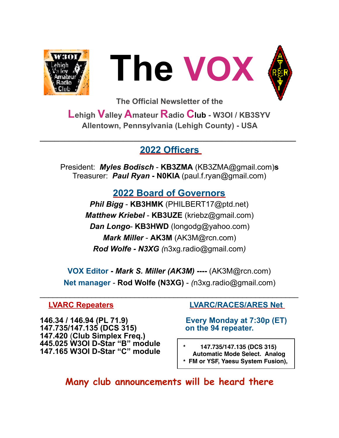



**The Official Newsletter of the** 

**Lehigh Valley Amateur R**a**dio Club - W3OI / KB3SYV Allentown, Pennsylvania (Lehigh County) - USA** 

### **2022 Officers**

**\_\_\_\_\_\_\_\_\_\_\_\_\_\_\_\_\_\_\_\_\_\_\_\_\_\_\_\_\_\_\_\_\_\_\_\_\_\_\_\_\_\_\_\_\_\_\_\_\_\_\_\_** 

President: *Myles Bodisch* - **KB3ZMA** [\(KB3ZMA@gmail.com](mailto:KB3ZMA@gmail.com))**s** Treasurer: *Paul Ryan* **- N0KIA** [\(paul.f.ryan@gmail.com](mailto:paul.f.ryan@gmail.com))

### **2022 Board of Governors**

*Phil Bigg* - **KB3HMK** (PHILBERT17@ptd.net) *Matthew Kriebel* - **KB3UZE** [\(kriebz@gmail.com\)](mailto:kriebz@gmail.com) *Dan Longo*- **KB3HWD** (longodg@yahoo.com) *Mark Miller* - **AK3M** ([AK3M@rcn.com\)](mailto:AK3M@rcn.com) *Rod Wolfe - N3XG (*[n3xg.radio@gmail.com](mailto:n3xg.radio@gmail.com)*)* 

**VOX Editor -** *Mark S. Miller (AK3M)* **----** (AK3M@rcn.com) **Net manager** - **Rod Wolfe (N3XG)** - *(*[n3xg.radio@gmail.com](mailto:n3xg.radio@gmail.com))

 $\mathcal{L}_\text{G}$  , and the contribution of the contribution of the contribution of the contribution of the contribution of the contribution of the contribution of the contribution of the contribution of the contribution of t

**146.34 / 146.94 (PL 71.9) Every Monday at 7:30p (ET) 147.735/147.135 (DCS 315) on the 94 repeater. 147.420** (**Club Simplex Freq.) 445.025 W3OI D-Star "B" module 147.165 W3OI D-Star "C" module \* 147.735/147.135 (DCS 315)** 

#### **LVARC Repeaters LVARC/RACES/ARES Net**

**Automatic Mode Select. Analog \* FM or YSF, Yaesu System Fusion),**

**Many club announcements will be heard there**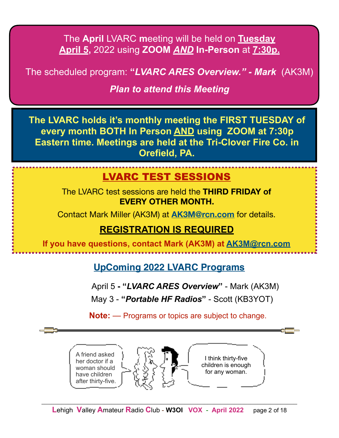The **April** LVARC **m**eeting will be held on **Tuesday April 5,** 2022 using **ZOOM** *AND* **In-Person** at **7:30p.** 

The scheduled program: **"***LVARC ARES Overview." - Mark* (AK3M)

### *Plan to attend this Meeting*

**The LVARC holds it's monthly meeting the FIRST TUESDAY of every month BOTH In Person AND using ZOOM at 7:30p Eastern time. Meetings are held at the Tri-Clover Fire Co. in Orefield, PA.** 

### LVARC TEST SESSIONS

The LVARC test sessions are held the **THIRD FRIDAY of EVERY OTHER MONTH.**

Contact Mark Miller (AK3M) at **[AK3M@rcn.com](mailto:AK3M@rcn.com)** for details.

### **REGISTRATION IS REQUIRED**

**If you have questions, contact Mark (AK3M) at [AK3M@rcn.com](mailto:AK3M@rcn.com)**

**UpComing 2022 LVARC Programs**

April 5 **- "***LVARC ARES Overview***"** - Mark (AK3M)

May 3 - **"***Portable HF Radios***"** - Scott (KB3YOT)

**Note:** — Programs or topics are subject to change.

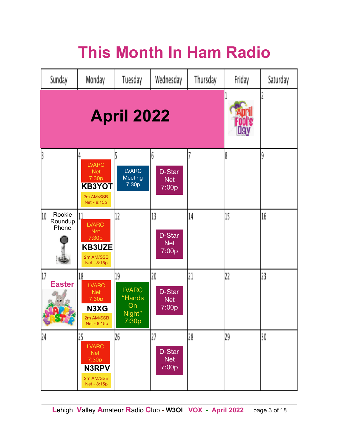# **This Month In Ham Radio**

| Sunday                                  | Monday                                                                                       | Tuesday                                               | Wednesday                           | Thursday | Friday | Saturday |
|-----------------------------------------|----------------------------------------------------------------------------------------------|-------------------------------------------------------|-------------------------------------|----------|--------|----------|
| <b>April 2022</b>                       |                                                                                              |                                                       |                                     |          |        |          |
|                                         | <b>LVARC</b><br><b>Net</b><br>7:30 <sub>p</sub><br><b>KB3YOT</b><br>2m AM/SSB<br>Net - 8:15p | <b>LVARC</b><br>Meeting<br>7:30p                      | 6<br>D-Star<br><b>Net</b><br>7:00p  |          | 8      | 9        |
| Rookie<br>10<br>Roundup<br>Phone        | <b>LVARC</b><br><b>Net</b><br>7:30p<br><b>KB3UZE</b><br>2m AM/SSB<br>Net - 8:15p             | 12                                                    | 13<br>D-Star<br><b>Net</b><br>7:00p | 14       | 15     | 16       |
| 17<br><b>Easter</b><br><b>SINGLE OF</b> | 18<br><b>LVARC</b><br><b>Net</b><br>7:30p<br>N3XG<br>2m AM/SSB<br>Net - 8:15p                | 19<br><b>LVARC</b><br>"Hands<br>On<br>Night"<br>7:30p | 20<br>D-Star<br><b>Net</b><br>7:00p | 21       | 22     | 23       |
| 24                                      | 25<br><b>LVARC</b><br><b>Net</b><br>7:30p<br>N3RPV<br>2m AM/SSB<br>Net - 8:15p               | 26                                                    | 27<br>D-Star<br><b>Net</b><br>7:00p | 28       | 29     | 30       |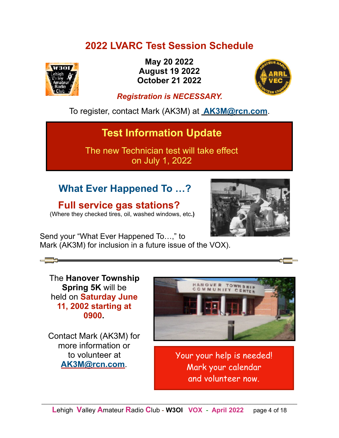### **2022 LVARC Test Session Schedule**



**May 20 2022 August 19 2022 October 21 2022**



### *Registration is NECESSARY.*

To register, contact Mark (AK3M) at **[AK3M@rcn.com](mailto:no_reply@apple.com)**.

### **Test Information Update**

The new Technician test will take effect on July 1, 2022

### **What Ever Happened To …?**

 **Full service gas stations?** 





Send your "What Ever Happened To…," to Mark (AK3M) for inclusion in a future issue of the VOX).

The **Hanover Township Spring 5K** will be held on **Saturday June 11, 2002 starting at 0900.** 

Contact Mark (AK3M) for more information or to volunteer at **[AK3M@rcn.com](mailto:AK3M@rcn.com)**.



Your your help is needed! Mark your calendar and volunteer now.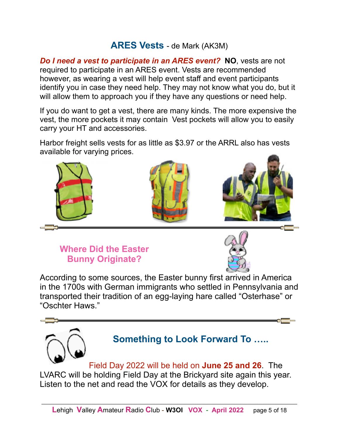### **ARES Vests** - de Mark (AK3M)

*Do I need a vest to participate in an ARES event?* **NO**, vests are not required to participate in an ARES event. Vests are recommended however, as wearing a vest will help event staff and event participants identify you in case they need help. They may not know what you do, but it will allow them to approach you if they have any questions or need help.

If you do want to get a vest, there are many kinds. The more expensive the vest, the more pockets it may contain Vest pockets will allow you to easily carry your HT and accessories.

Harbor freight sells vests for as little as \$3.97 or the ARRL also has vests available for varying prices.



 **Where Did the Easter Bunny Originate?** 



According to some sources, the Easter bunny first arrived in America in the 1700s with German immigrants who settled in [Pennsylvania](https://www.history.com/topics/us-states/pennsylvania) and transported their tradition of an egg-laying hare called "Osterhase" or "Oschter Haws."



LVARC will be holding Field Day at the Brickyard site again this year. Listen to the net and read the VOX for details as they develop.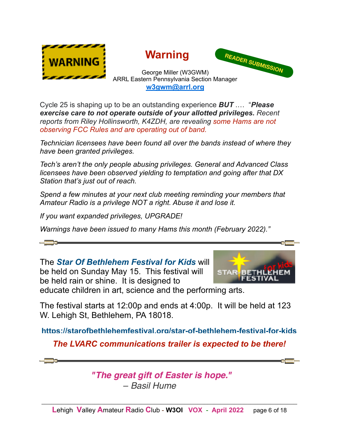





#### George Miller (W3GWM) ARRL Eastern Pennsylvania Section Manager **[w3gwm@arrl.org](mailto:w3gwm@arrl.org)**

Cycle 25 is shaping up to be an outstanding experience *BUT* .… "*Please exercise care to not operate outside of your allotted privileges. Recent reports from Riley Hollinsworth, K4ZDH, are revealing some Hams are not observing FCC Rules and are operating out of band.* 

*Technician licensees have been found all over the bands instead of where they have been granted privileges.* 

*Tech's aren't the only people abusing privileges. General and Advanced Class licensees have been observed yielding to temptation and going after that DX Station that's just out of reach.* 

*Spend a few minutes at your next club meeting reminding your members that Amateur Radio is a privilege NOT a right. Abuse it and lose it.* 

*If you want expanded privileges, UPGRADE!* 

*Warnings have been issued to many Hams this month (February 2022)."* 

The *Star Of Bethlehem Festival for Kids* will be held on Sunday May 15. This festival will be held rain or shine. It is designed to educate children in art, science and the performing arts.

The festival starts at 12:00p and ends at 4:00p. It will be held at 123 W. Lehigh St, Bethlehem, PA 18018.

**<https://starofbethlehemfestival.org/star-of-bethlehem-festival-for-kids>**

*The LVARC communications trailer is expected to be there!* 

*"The great gift of Easter is hope."* – *Basil Hume*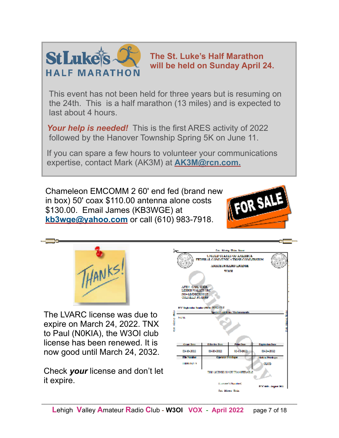

**The St. Luke's Half Marathon will be held on Sunday April 24.**

 This event has not been held for three years but is resuming on the 24th. This is a half marathon (13 miles) and is expected to last about 4 hours.

 *Your help is needed!* This is the first ARES activity of 2022 followed by the Hanover Township Spring 5K on June 11.

 If you can spare a few hours to volunteer your communications expertise, contact Mark (AK3M) at **[AK3M@rcn.com.](mailto:AK3M@rcn.com)**

Chameleon EMCOMM 2 60' end fed (brand new in box) 50' coax \$110.00 antenna alone costs \$130.00. Email James (KB3WGE) at **[kb3wge@yahoo.com](mailto:kb3wge@yahoo.com)** or call (610) 983-7918.





The LVARC license was due to expire on March 24, 2022. TNX to Paul (N0KIA), the W3OI club license has been renewed. It is now good until March 24, 2032.

Check *your* license and don't let it expire.

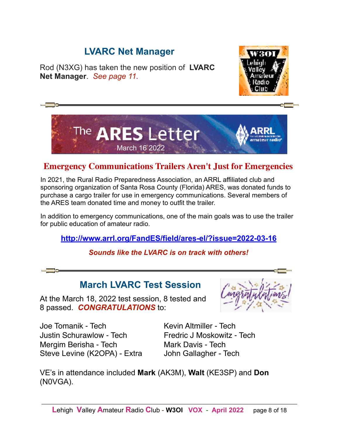### **LVARC Net Manager**

Rod (N3XG) has taken the new position of **LVARC Net Manager**. *See page 11.*





### **Emergency Communications Trailers Aren't Just for Emergencies**

In 2021, the Rural Radio Preparedness Association, an ARRL affiliated club and sponsoring organization of Santa Rosa County (Florida) ARES, was donated funds to purchase a cargo trailer for use in emergency communications. Several members of the ARES team donated time and money to outfit the trailer.

In addition to emergency communications, one of the main goals was to use the trailer for public education of amateur radio.

**<http://www.arrl.org/FandES/field/ares-el/?issue=2022-03-16>**

*Sounds like the LVARC is on track with others!* 

### **March LVARC Test Session**

At the March 18, 2022 test session, 8 tested and 8 passed. *CONGRATULATIONS* to:



Joe Tomanik - Tech Kevin Altmiller - Tech Justin Schurawlow - Tech Fredric J Moskowitz - Tech Mergim Berisha - Tech Mark Davis - Tech Steve Levine (K2OPA) - Extra John Gallagher - Tech

VE's in attendance included **Mark** (AK3M), **Walt** (KE3SP) and **Don** (N0VGA).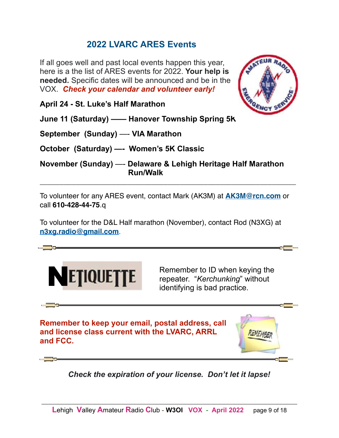### **2022 LVARC ARES Events**

If all goes well and past local events happen this year, here is a the list of ARES events for 2022. **Your help is needed.** Specific dates will be announced and be in the VOX. *Check your calendar and volunteer early!*



**April 24 - St. Luke's Half Marathon** 

**June 11 (Saturday) —— Hanover Township Spring 5K**

**September (Sunday)** —- **VIA Marathon**

**October (Saturday) —- Women's 5K Classic**

**November (Sunday)** —- **Delaware & Lehigh Heritage Half Marathon Run/Walk**

To volunteer for any ARES event, contact Mark (AK3M) at **[AK3M@rcn.com](mailto:AK3M@rcn.com)** or call **610-428-44-75**.q

\_\_\_\_\_\_\_\_\_\_\_\_\_\_\_\_\_\_\_\_\_\_\_\_\_\_\_\_\_\_\_\_\_\_\_\_\_\_\_\_\_\_\_\_\_\_\_\_\_\_\_\_\_\_\_\_\_\_\_\_\_\_\_\_

To volunteer for the D&L Half marathon (November), contact Rod (N3XG) at **[n3xg.radio@gmail.com](mailto:n3xg.radio@gmail.com)**.



**Remember to ID when keying the**  repeater. "*Kerchunking*" without identifying is bad practice.

**Remember to keep your email, postal address, call and license class current with the LVARC, ARRL and FCC.** 



*Check the expiration of your license. Don't let it lapse!*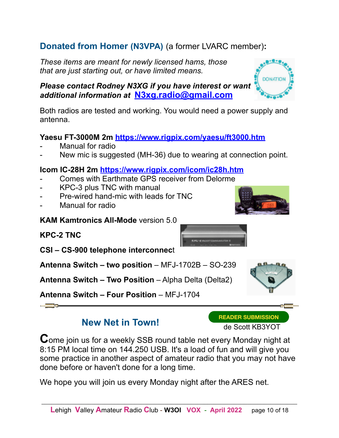### **Donated from Homer (N3VPA)** (a former LVARC member)**:**

*These items are meant for newly licensed hams, those that are just starting out, or have limited means.* 

#### *Please contact Rodney N3XG if you have interest or want additional information at* **[N3xg.radio@gmail.com](mailto:N3xg.radio@gmail.com)**

Both radios are tested and working. You would need a power supply and antenna.

#### **Yaesu FT-3000M 2m<https://www.rigpix.com/yaesu/ft3000.htm>**

- Manual for radio
- New mic is suggested (MH-36) due to wearing at connection point.

#### **Icom IC-28H 2m <https://www.rigpix.com/icom/ic28h.htm>**

- Comes with Earthmate GPS receiver from Delorme
- KPC-3 plus TNC with manual
- Pre-wired hand-mic with leads for TNC
- Manual for radio

**KAM Kamtronics All-Mode** version 5.0

**KPC-2 TNC** 

**CSI – CS-900 telephone interconnec**t

**Antenna Switch – two position** – MFJ-1702B – SO-239

**Antenna Switch – Two Position** – Alpha Delta (Delta2)

**Antenna Switch – Four Position** – MFJ-1704

 **New Net in Town!** 

de Scott KB3YOT

**READER SUBMISSION**

**C**ome join us for a weekly SSB round table net every Monday night at 8:15 PM local time on 144.250 USB. It's a load of fun and will give you some practice in another aspect of amateur radio that you may not have done before or haven't done for a long time.

We hope you will join us every Monday night after the ARES net.





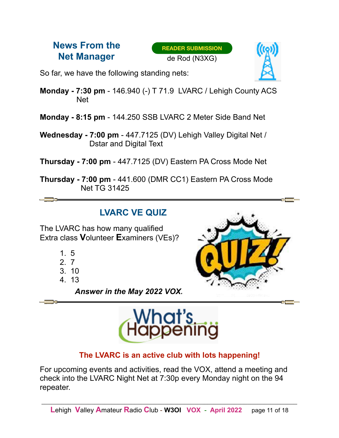### **News From the Net Manager**

**READER SUBMISSION** de Rod (N3XG)



So far, we have the following standing nets:

**Monday - 7:30 pm** - 146.940 (-) T 71.9 LVARC / Lehigh County ACS Net

**Monday - 8:15 pm** - 144.250 SSB LVARC 2 Meter Side Band Net

- **Wednesday 7:00 pm**  447.7125 (DV) Lehigh Valley Digital Net / Dstar and Digital Text
- **Thursday 7:00 pm** 447.7125 (DV) Eastern PA Cross Mode Net
- **Thursday 7:00 pm** 441.600 (DMR CC1) Eastern PA Cross Mode Net TG 31425

### **LVARC VE QUIZ**

The LVARC has how many qualified Extra class **V**olunteer **E**xaminers (VEs)?

- 1. 5
- 2. 7
- 3. 10
- 4. 13

 *Answer in the May 2022 VOX.*





### **The LVARC is an active club with lots happening!**

For upcoming events and activities, read the VOX, attend a meeting and check into the LVARC Night Net at 7:30p every Monday night on the 94 repeater.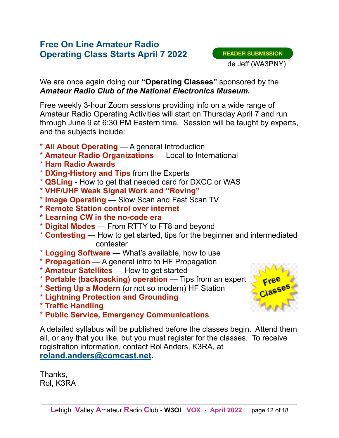### **Free On Line Amateur Radio Operating Class Starts April 7 2022**

We are once again doing our **"Operating Classes"** sponsored by the *Amateur Radio Club of the National Electronics Museum.* 

Free weekly 3-hour Zoom sessions providing info on a wide range of Amateur Radio Operating Activities will start on Thursday April 7 and run through June 9 at 6:30 PM Eastern time. Session will be taught by experts, and the subjects include:

- \* **All About Operating**  A general Introduction
- \* **Amateur Radio Organizations**  Local to International
- \* **Ham Radio Awards**
- \* **DXing-History and Tips** from the Experts
- \* **QSLing**  How to get that needed card for DXCC or WAS
- **\* VHF/UHF Weak Signal Work and "Roving"**
- \* **Image Operating**  Slow Scan and Fast Scan TV
- **\* Remote Station control over internet**
- **\* Learning CW in the no-code era**
- \* **Digital Modes**  From RTTY to FT8 and beyond
- \* **Contesting**  How to get started, tips for the beginner and intermediated contester
- \* **Logging Software**  What's available, how to use
- \* **Propagation**  A general intro to HF Propagation
- \* **Amateur Satellites**  How to get started
- \* **Portable (backpacking) operation**  Tips from an expert
- \* **Setting Up a Modern** (or not so modern) HF Station
- **\* Lightning Protection and Grounding**
- **\* Traffic Handling**
- \* **Public Service, Emergency Communications**

A detailed syllabus will be published before the classes begin. Attend them all, or any that you like, but you must register for the classes. To receive registration information, contact Rol Anders, K3RA, at **[roland.anders@comcast.net](mailto:roland.anders@comcast.net).**

Thanks, Rol, K3RA

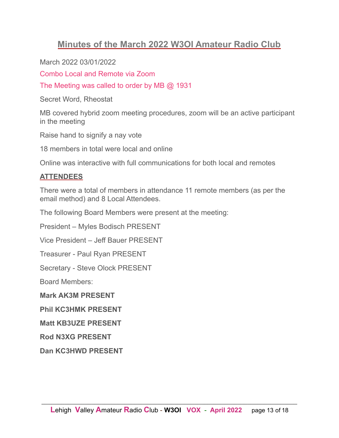### **Minutes of the March 2022 W3OI Amateur Radio Club**

March 2022 03/01/2022

Combo Local and Remote via Zoom

The Meeting was called to order by MB @ 1931

Secret Word, Rheostat

MB covered hybrid zoom meeting procedures, zoom will be an active participant in the meeting

Raise hand to signify a nay vote

18 members in total were local and online

Online was interactive with full communications for both local and remotes

#### **ATTENDEES**

There were a total of members in attendance 11 remote members (as per the email method) and 8 Local Attendees.

The following Board Members were present at the meeting:

President – Myles Bodisch PRESENT

Vice President – Jeff Bauer PRESENT

Treasurer - Paul Ryan PRESENT

Secretary - Steve Olock PRESENT

Board Members:

**Mark AK3M PRESENT** 

**Phil KC3HMK PRESENT** 

**Matt KB3UZE PRESENT** 

**Rod N3XG PRESENT** 

**Dan KC3HWD PRESENT**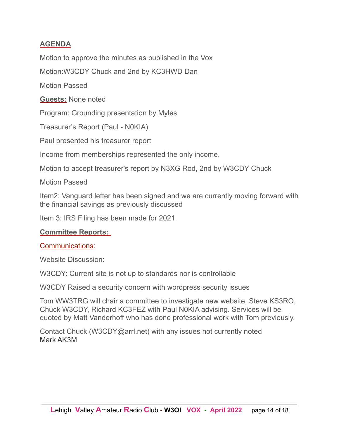#### **AGENDA**

Motion to approve the minutes as published in the Vox

Motion:W3CDY Chuck and 2nd by KC3HWD Dan

Motion Passed

**Guests:** None noted

Program: Grounding presentation by Myles

Treasurer's Report (Paul - N0KIA)

Paul presented his treasurer report

Income from memberships represented the only income.

Motion to accept treasurer's report by N3XG Rod, 2nd by W3CDY Chuck

Motion Passed

Item2: Vanguard letter has been signed and we are currently moving forward with the financial savings as previously discussed

Item 3: IRS Filing has been made for 2021.

#### **Committee Reports:**

#### Communications:

Website Discussion:

W3CDY: Current site is not up to standards nor is controllable

W3CDY Raised a security concern with wordpress security issues

Tom WW3TRG will chair a committee to investigate new website, Steve KS3RO, Chuck W3CDY, Richard KC3FEZ with Paul N0KIA advising. Services will be quoted by Matt Vanderhoff who has done professional work with Tom previously.

Contact Chuck (W3CDY@arrl.net) with any issues not currently noted Mark AK3M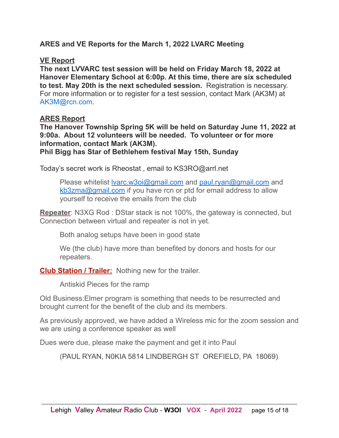#### **ARES and VE Reports for the March 1, 2022 LVARC Meeting**

#### **VE Report**

**The next LVVARC test session will be held on Friday March 18, 2022 at Hanover Elementary School at 6:00p. At this time, there are six scheduled to test. May 20th is the next scheduled session.** Registration is necessary. For more information or to register for a test session, contact Mark (AK3M) at AK3M@rcn.com.

#### **ARES Report**

**The Hanover Township Spring 5K will be held on Saturday June 11, 2022 at 9:00a. About 12 volunteers will be needed. To volunteer or for more information, contact Mark (AK3M). Phil Bigg has Star of Bethlehem festival May 15th, Sunday** 

Today's secret work is Rheostat , email to KS3RO@arrl.net

Please whitelist Ivarc.w3oi@gmail.com and [paul.ryan@gmail.com](mailto:paul.ryan@gmail.com) and [kb3zma@gmail.com](mailto:kb3zma@gmail.com) if you have rcn or ptd for email address to allow yourself to receive the emails from the club

**Repeater**: N3XG Rod : DStar stack is not 100%, the gateway is connected, but Connection between virtual and repeater is not in yet.

Both analog setups have been in good state

We (the club) have more than benefited by donors and hosts for our repeaters.

**Club Station / Trailer:** Nothing new for the trailer.

Antiskid Pieces for the ramp

Old Business:Elmer program is something that needs to be resurrected and brought current for the benefit of the club and its members.

As previously approved, we have added a Wireless mic for the zoom session and we are using a conference speaker as well

Dues were due, please make the payment and get it into Paul

(PAUL RYAN, N0KIA 5814 LINDBERGH ST OREFIELD, PA 18069)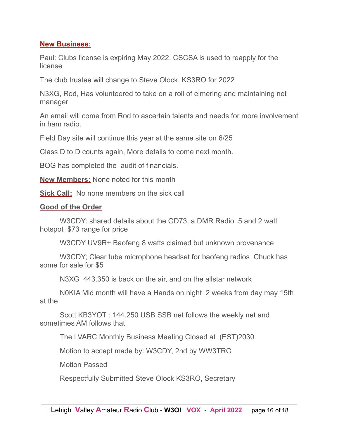#### **New Business:**

Paul: Clubs license is expiring May 2022. CSCSA is used to reapply for the license

The club trustee will change to Steve Olock, KS3RO for 2022

N3XG, Rod, Has volunteered to take on a roll of elmering and maintaining net manager

An email will come from Rod to ascertain talents and needs for more involvement in ham radio.

Field Day site will continue this year at the same site on 6/25

Class D to D counts again, More details to come next month.

BOG has completed the audit of financials.

**New Members:** None noted for this month

**Sick Call:** No none members on the sick call

#### **Good of the Order**

W3CDY: shared details about the GD73, a DMR Radio .5 and 2 watt hotspot \$73 range for price

W3CDY UV9R+ Baofeng 8 watts claimed but unknown provenance

W3CDY; Clear tube microphone headset for baofeng radios Chuck has some for sale for \$5

N3XG 443.350 is back on the air, and on the allstar network

N0KIA Mid month will have a Hands on night 2 weeks from day may 15th at the

Scott KB3YOT : 144.250 USB SSB net follows the weekly net and sometimes AM follows that

The LVARC Monthly Business Meeting Closed at (EST)2030

Motion to accept made by: W3CDY, 2nd by WW3TRG

Motion Passed

Respectfully Submitted Steve Olock KS3RO, Secretary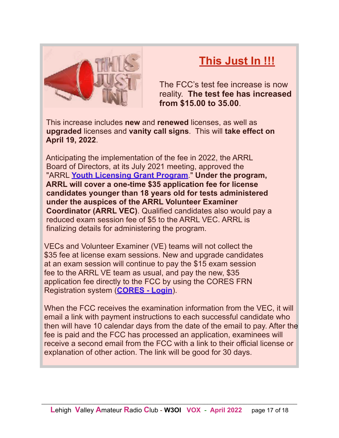

## **This Just In !!!**

The FCC's test fee increase is now reality. **The test fee has increased from \$15.00 to 35.00**.

 This increase includes **new** and **renewed** licenses, as well as **upgraded** licenses and **vanity call signs**. This will **take effect on April 19, 2022**.

 Anticipating the implementation of the fee in 2022, the ARRL Board of Directors, at its July 2021 meeting, approved the "ARRL **[Youth Licensing Grant Program](https://www.arrl.org/news/arrl-board-establishes-program-to-cover-initial-fcc-license-fee-for-young-applicants)**." **Under the program, ARRL will cover a one-time \$35 application fee for license candidates younger than 18 years old for tests administered under the auspices of the ARRL Volunteer Examiner Coordinator (ARRL VEC)**. Qualified candidates also would pay a reduced exam session fee of \$5 to the ARRL VEC. ARRL is finalizing details for administering the program.

 VECs and Volunteer Examiner (VE) teams will not collect the \$35 fee at license exam sessions. New and upgrade candidates at an exam session will continue to pay the \$15 exam session fee to the ARRL VE team as usual, and pay the new, \$35 application fee directly to the FCC by using the CORES FRN Registration system (**[CORES - Login](https://apps.fcc.gov/cores/userLogin.do)**).

 When the FCC receives the examination information from the VEC, it will email a link with payment instructions to each successful candidate who then will have 10 calendar days from the date of the email to pay. After the fee is paid and the FCC has processed an application, examinees will receive a second email from the FCC with a link to their official license or explanation of other action. The link will be good for 30 days.